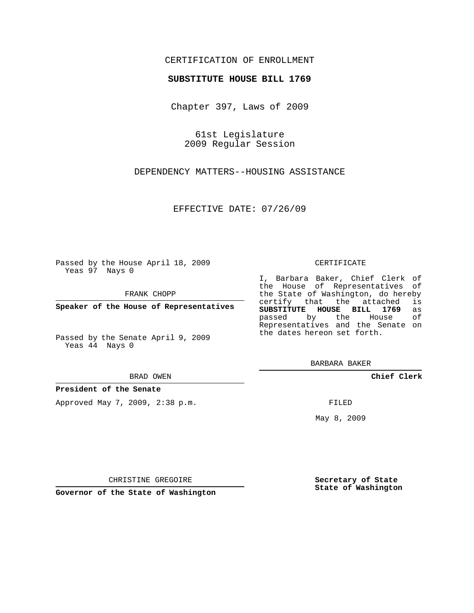### CERTIFICATION OF ENROLLMENT

#### **SUBSTITUTE HOUSE BILL 1769**

Chapter 397, Laws of 2009

61st Legislature 2009 Regular Session

DEPENDENCY MATTERS--HOUSING ASSISTANCE

EFFECTIVE DATE: 07/26/09

Passed by the House April 18, 2009 Yeas 97 Nays 0

FRANK CHOPP

**Speaker of the House of Representatives**

Passed by the Senate April 9, 2009 Yeas 44 Nays 0

BRAD OWEN

**President of the Senate**

Approved May 7, 2009, 2:38 p.m.

#### CERTIFICATE

I, Barbara Baker, Chief Clerk of the House of Representatives of the State of Washington, do hereby<br>certify that the attached is certify that the attached **SUBSTITUTE HOUSE BILL 1769** as passed by the Representatives and the Senate on the dates hereon set forth.

BARBARA BAKER

**Chief Clerk**

FILED

May 8, 2009

**Secretary of State State of Washington**

CHRISTINE GREGOIRE

**Governor of the State of Washington**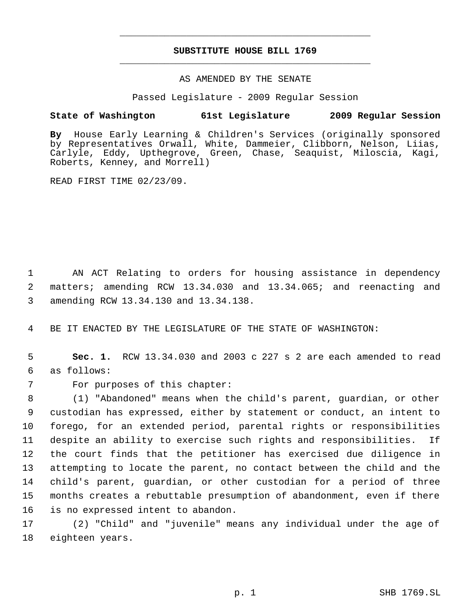# **SUBSTITUTE HOUSE BILL 1769** \_\_\_\_\_\_\_\_\_\_\_\_\_\_\_\_\_\_\_\_\_\_\_\_\_\_\_\_\_\_\_\_\_\_\_\_\_\_\_\_\_\_\_\_\_

\_\_\_\_\_\_\_\_\_\_\_\_\_\_\_\_\_\_\_\_\_\_\_\_\_\_\_\_\_\_\_\_\_\_\_\_\_\_\_\_\_\_\_\_\_

### AS AMENDED BY THE SENATE

Passed Legislature - 2009 Regular Session

## **State of Washington 61st Legislature 2009 Regular Session**

**By** House Early Learning & Children's Services (originally sponsored by Representatives Orwall, White, Dammeier, Clibborn, Nelson, Liias, Carlyle, Eddy, Upthegrove, Green, Chase, Seaquist, Miloscia, Kagi, Roberts, Kenney, and Morrell)

READ FIRST TIME 02/23/09.

 1 AN ACT Relating to orders for housing assistance in dependency 2 matters; amending RCW 13.34.030 and 13.34.065; and reenacting and 3 amending RCW 13.34.130 and 13.34.138.

4 BE IT ENACTED BY THE LEGISLATURE OF THE STATE OF WASHINGTON:

 5 **Sec. 1.** RCW 13.34.030 and 2003 c 227 s 2 are each amended to read 6 as follows:

7 For purposes of this chapter:

 (1) "Abandoned" means when the child's parent, guardian, or other custodian has expressed, either by statement or conduct, an intent to forego, for an extended period, parental rights or responsibilities despite an ability to exercise such rights and responsibilities. If the court finds that the petitioner has exercised due diligence in attempting to locate the parent, no contact between the child and the child's parent, guardian, or other custodian for a period of three months creates a rebuttable presumption of abandonment, even if there is no expressed intent to abandon.

17 (2) "Child" and "juvenile" means any individual under the age of 18 eighteen years.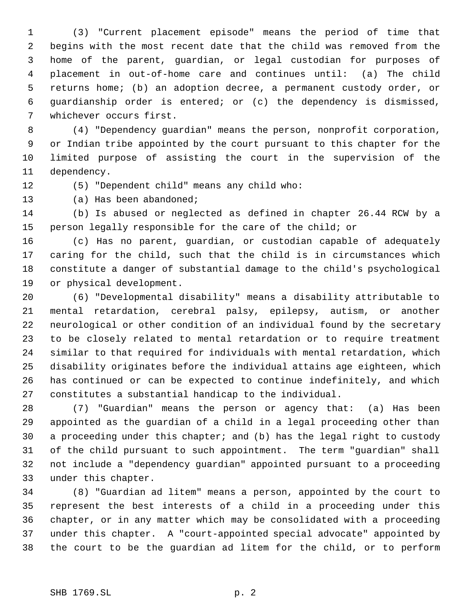(3) "Current placement episode" means the period of time that begins with the most recent date that the child was removed from the home of the parent, guardian, or legal custodian for purposes of placement in out-of-home care and continues until: (a) The child returns home; (b) an adoption decree, a permanent custody order, or guardianship order is entered; or (c) the dependency is dismissed, whichever occurs first.

 (4) "Dependency guardian" means the person, nonprofit corporation, or Indian tribe appointed by the court pursuant to this chapter for the limited purpose of assisting the court in the supervision of the dependency.

(5) "Dependent child" means any child who:

(a) Has been abandoned;

 (b) Is abused or neglected as defined in chapter 26.44 RCW by a person legally responsible for the care of the child; or

 (c) Has no parent, guardian, or custodian capable of adequately caring for the child, such that the child is in circumstances which constitute a danger of substantial damage to the child's psychological or physical development.

 (6) "Developmental disability" means a disability attributable to mental retardation, cerebral palsy, epilepsy, autism, or another neurological or other condition of an individual found by the secretary to be closely related to mental retardation or to require treatment similar to that required for individuals with mental retardation, which disability originates before the individual attains age eighteen, which has continued or can be expected to continue indefinitely, and which constitutes a substantial handicap to the individual.

 (7) "Guardian" means the person or agency that: (a) Has been appointed as the guardian of a child in a legal proceeding other than a proceeding under this chapter; and (b) has the legal right to custody of the child pursuant to such appointment. The term "guardian" shall not include a "dependency guardian" appointed pursuant to a proceeding under this chapter.

 (8) "Guardian ad litem" means a person, appointed by the court to represent the best interests of a child in a proceeding under this chapter, or in any matter which may be consolidated with a proceeding under this chapter. A "court-appointed special advocate" appointed by the court to be the guardian ad litem for the child, or to perform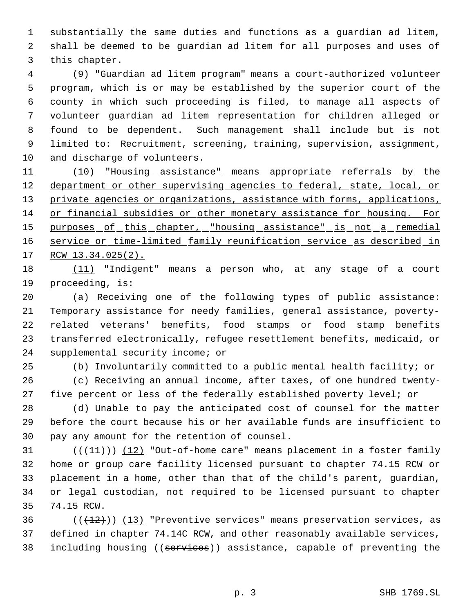substantially the same duties and functions as a guardian ad litem, shall be deemed to be guardian ad litem for all purposes and uses of this chapter.

 (9) "Guardian ad litem program" means a court-authorized volunteer program, which is or may be established by the superior court of the county in which such proceeding is filed, to manage all aspects of volunteer guardian ad litem representation for children alleged or found to be dependent. Such management shall include but is not limited to: Recruitment, screening, training, supervision, assignment, and discharge of volunteers.

11 (10) <u>"Housing assistance" means appropriate referrals by the</u> 12 department or other supervising agencies to federal, state, local, or 13 private agencies or organizations, assistance with forms, applications, or financial subsidies or other monetary assistance for housing. For 15 purposes of this chapter, "housing assistance" is not a remedial 16 service or time-limited family reunification service as described in 17 RCW 13.34.025(2).

18 (11) "Indigent" means a person who, at any stage of a court proceeding, is:

 (a) Receiving one of the following types of public assistance: Temporary assistance for needy families, general assistance, poverty- related veterans' benefits, food stamps or food stamp benefits transferred electronically, refugee resettlement benefits, medicaid, or supplemental security income; or

 (b) Involuntarily committed to a public mental health facility; or (c) Receiving an annual income, after taxes, of one hundred twenty-

five percent or less of the federally established poverty level; or

 (d) Unable to pay the anticipated cost of counsel for the matter before the court because his or her available funds are insufficient to pay any amount for the retention of counsel.

 $((+11))$   $(12)$  "Out-of-home care" means placement in a foster family home or group care facility licensed pursuant to chapter 74.15 RCW or placement in a home, other than that of the child's parent, guardian, or legal custodian, not required to be licensed pursuant to chapter 74.15 RCW.

36  $((+12))$  (13) "Preventive services" means preservation services, as defined in chapter 74.14C RCW, and other reasonably available services, 38 including housing ((services)) assistance, capable of preventing the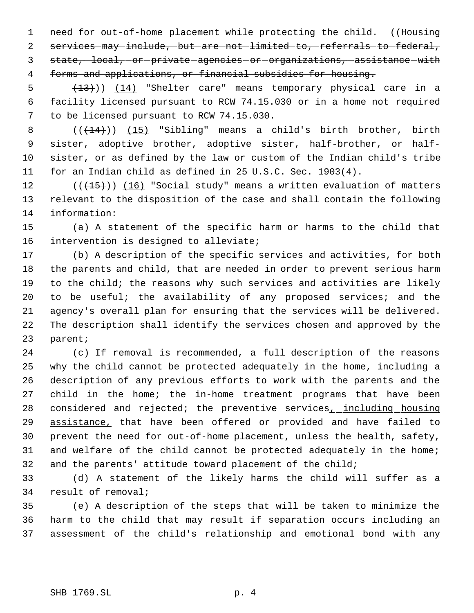1 need for out-of-home placement while protecting the child. ((Housing services may include, but are not limited to, referrals to federal, 3 state, local, or private agencies or organizations, assistance with forms and applications, or financial subsidies for housing.

5 (13)) (14) "Shelter care" means temporary physical care in a facility licensed pursuant to RCW 74.15.030 or in a home not required to be licensed pursuant to RCW 74.15.030.

 $((+14))$  (15) "Sibling" means a child's birth brother, birth sister, adoptive brother, adoptive sister, half-brother, or half- sister, or as defined by the law or custom of the Indian child's tribe for an Indian child as defined in 25 U.S.C. Sec. 1903(4).

12  $((+15))$  (16) "Social study" means a written evaluation of matters relevant to the disposition of the case and shall contain the following information:

 (a) A statement of the specific harm or harms to the child that intervention is designed to alleviate;

 (b) A description of the specific services and activities, for both the parents and child, that are needed in order to prevent serious harm to the child; the reasons why such services and activities are likely to be useful; the availability of any proposed services; and the agency's overall plan for ensuring that the services will be delivered. The description shall identify the services chosen and approved by the parent;

 (c) If removal is recommended, a full description of the reasons why the child cannot be protected adequately in the home, including a description of any previous efforts to work with the parents and the child in the home; the in-home treatment programs that have been 28 considered and rejected; the preventive services<sub>1</sub> including housing 29 assistance, that have been offered or provided and have failed to prevent the need for out-of-home placement, unless the health, safety, and welfare of the child cannot be protected adequately in the home; and the parents' attitude toward placement of the child;

 (d) A statement of the likely harms the child will suffer as a result of removal;

 (e) A description of the steps that will be taken to minimize the harm to the child that may result if separation occurs including an assessment of the child's relationship and emotional bond with any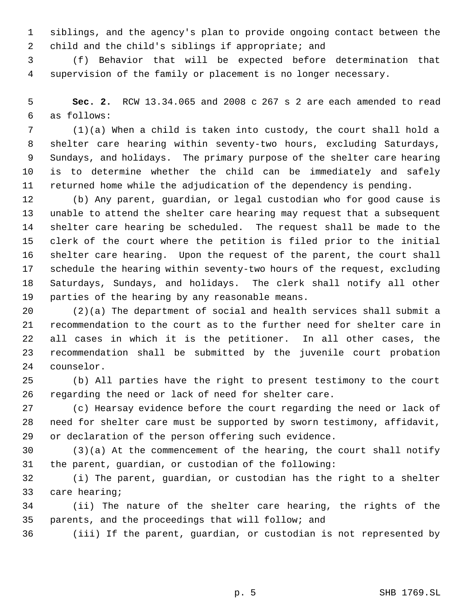siblings, and the agency's plan to provide ongoing contact between the child and the child's siblings if appropriate; and

 (f) Behavior that will be expected before determination that supervision of the family or placement is no longer necessary.

 **Sec. 2.** RCW 13.34.065 and 2008 c 267 s 2 are each amended to read as follows:

 (1)(a) When a child is taken into custody, the court shall hold a shelter care hearing within seventy-two hours, excluding Saturdays, Sundays, and holidays. The primary purpose of the shelter care hearing is to determine whether the child can be immediately and safely returned home while the adjudication of the dependency is pending.

 (b) Any parent, guardian, or legal custodian who for good cause is unable to attend the shelter care hearing may request that a subsequent shelter care hearing be scheduled. The request shall be made to the clerk of the court where the petition is filed prior to the initial shelter care hearing. Upon the request of the parent, the court shall schedule the hearing within seventy-two hours of the request, excluding Saturdays, Sundays, and holidays. The clerk shall notify all other parties of the hearing by any reasonable means.

 (2)(a) The department of social and health services shall submit a recommendation to the court as to the further need for shelter care in all cases in which it is the petitioner. In all other cases, the recommendation shall be submitted by the juvenile court probation counselor.

 (b) All parties have the right to present testimony to the court regarding the need or lack of need for shelter care.

 (c) Hearsay evidence before the court regarding the need or lack of need for shelter care must be supported by sworn testimony, affidavit, or declaration of the person offering such evidence.

 (3)(a) At the commencement of the hearing, the court shall notify the parent, guardian, or custodian of the following:

 (i) The parent, guardian, or custodian has the right to a shelter care hearing;

 (ii) The nature of the shelter care hearing, the rights of the parents, and the proceedings that will follow; and

(iii) If the parent, guardian, or custodian is not represented by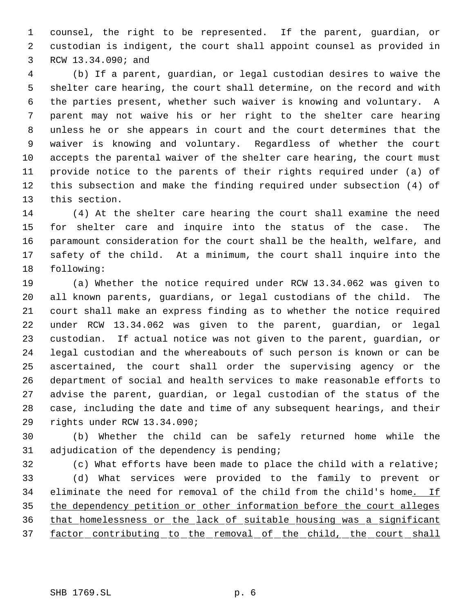counsel, the right to be represented. If the parent, guardian, or custodian is indigent, the court shall appoint counsel as provided in RCW 13.34.090; and

 (b) If a parent, guardian, or legal custodian desires to waive the shelter care hearing, the court shall determine, on the record and with the parties present, whether such waiver is knowing and voluntary. A parent may not waive his or her right to the shelter care hearing unless he or she appears in court and the court determines that the waiver is knowing and voluntary. Regardless of whether the court accepts the parental waiver of the shelter care hearing, the court must provide notice to the parents of their rights required under (a) of this subsection and make the finding required under subsection (4) of this section.

 (4) At the shelter care hearing the court shall examine the need for shelter care and inquire into the status of the case. The paramount consideration for the court shall be the health, welfare, and safety of the child. At a minimum, the court shall inquire into the following:

 (a) Whether the notice required under RCW 13.34.062 was given to all known parents, guardians, or legal custodians of the child. The court shall make an express finding as to whether the notice required under RCW 13.34.062 was given to the parent, guardian, or legal custodian. If actual notice was not given to the parent, guardian, or legal custodian and the whereabouts of such person is known or can be ascertained, the court shall order the supervising agency or the department of social and health services to make reasonable efforts to advise the parent, guardian, or legal custodian of the status of the case, including the date and time of any subsequent hearings, and their rights under RCW 13.34.090;

 (b) Whether the child can be safely returned home while the adjudication of the dependency is pending;

 (c) What efforts have been made to place the child with a relative; (d) What services were provided to the family to prevent or 34 eliminate the need for removal of the child from the child's home. If 35 the dependency petition or other information before the court alleges that homelessness or the lack of suitable housing was a significant 37 factor contributing to the removal of the child, the court shall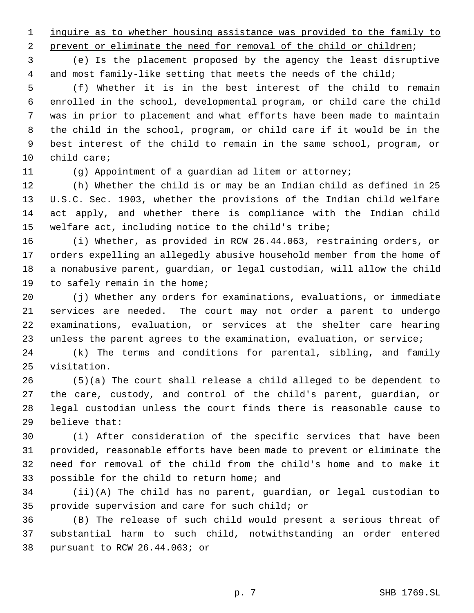inquire as to whether housing assistance was provided to the family to

2 prevent or eliminate the need for removal of the child or children;

 (e) Is the placement proposed by the agency the least disruptive 4 and most family-like setting that meets the needs of the child;

 (f) Whether it is in the best interest of the child to remain enrolled in the school, developmental program, or child care the child was in prior to placement and what efforts have been made to maintain the child in the school, program, or child care if it would be in the best interest of the child to remain in the same school, program, or child care;

(g) Appointment of a guardian ad litem or attorney;

 (h) Whether the child is or may be an Indian child as defined in 25 U.S.C. Sec. 1903, whether the provisions of the Indian child welfare act apply, and whether there is compliance with the Indian child welfare act, including notice to the child's tribe;

 (i) Whether, as provided in RCW 26.44.063, restraining orders, or orders expelling an allegedly abusive household member from the home of a nonabusive parent, guardian, or legal custodian, will allow the child to safely remain in the home;

 (j) Whether any orders for examinations, evaluations, or immediate services are needed. The court may not order a parent to undergo examinations, evaluation, or services at the shelter care hearing unless the parent agrees to the examination, evaluation, or service;

 (k) The terms and conditions for parental, sibling, and family visitation.

 (5)(a) The court shall release a child alleged to be dependent to the care, custody, and control of the child's parent, guardian, or legal custodian unless the court finds there is reasonable cause to believe that:

 (i) After consideration of the specific services that have been provided, reasonable efforts have been made to prevent or eliminate the need for removal of the child from the child's home and to make it possible for the child to return home; and

 (ii)(A) The child has no parent, guardian, or legal custodian to provide supervision and care for such child; or

 (B) The release of such child would present a serious threat of substantial harm to such child, notwithstanding an order entered pursuant to RCW 26.44.063; or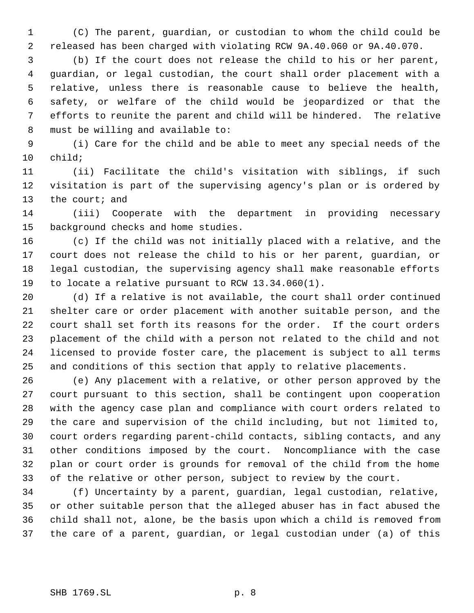(C) The parent, guardian, or custodian to whom the child could be released has been charged with violating RCW 9A.40.060 or 9A.40.070.

 (b) If the court does not release the child to his or her parent, guardian, or legal custodian, the court shall order placement with a relative, unless there is reasonable cause to believe the health, safety, or welfare of the child would be jeopardized or that the efforts to reunite the parent and child will be hindered. The relative must be willing and available to:

 (i) Care for the child and be able to meet any special needs of the child;

 (ii) Facilitate the child's visitation with siblings, if such visitation is part of the supervising agency's plan or is ordered by 13 the court; and

 (iii) Cooperate with the department in providing necessary background checks and home studies.

 (c) If the child was not initially placed with a relative, and the court does not release the child to his or her parent, guardian, or legal custodian, the supervising agency shall make reasonable efforts to locate a relative pursuant to RCW 13.34.060(1).

 (d) If a relative is not available, the court shall order continued shelter care or order placement with another suitable person, and the court shall set forth its reasons for the order. If the court orders placement of the child with a person not related to the child and not licensed to provide foster care, the placement is subject to all terms and conditions of this section that apply to relative placements.

 (e) Any placement with a relative, or other person approved by the court pursuant to this section, shall be contingent upon cooperation with the agency case plan and compliance with court orders related to the care and supervision of the child including, but not limited to, court orders regarding parent-child contacts, sibling contacts, and any other conditions imposed by the court. Noncompliance with the case plan or court order is grounds for removal of the child from the home of the relative or other person, subject to review by the court.

 (f) Uncertainty by a parent, guardian, legal custodian, relative, or other suitable person that the alleged abuser has in fact abused the child shall not, alone, be the basis upon which a child is removed from the care of a parent, guardian, or legal custodian under (a) of this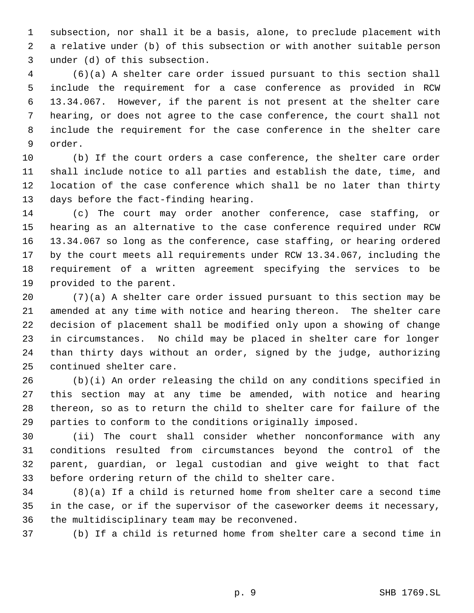subsection, nor shall it be a basis, alone, to preclude placement with a relative under (b) of this subsection or with another suitable person under (d) of this subsection.

 (6)(a) A shelter care order issued pursuant to this section shall include the requirement for a case conference as provided in RCW 13.34.067. However, if the parent is not present at the shelter care hearing, or does not agree to the case conference, the court shall not include the requirement for the case conference in the shelter care order.

 (b) If the court orders a case conference, the shelter care order shall include notice to all parties and establish the date, time, and location of the case conference which shall be no later than thirty days before the fact-finding hearing.

 (c) The court may order another conference, case staffing, or hearing as an alternative to the case conference required under RCW 13.34.067 so long as the conference, case staffing, or hearing ordered by the court meets all requirements under RCW 13.34.067, including the requirement of a written agreement specifying the services to be provided to the parent.

 (7)(a) A shelter care order issued pursuant to this section may be amended at any time with notice and hearing thereon. The shelter care decision of placement shall be modified only upon a showing of change in circumstances. No child may be placed in shelter care for longer than thirty days without an order, signed by the judge, authorizing continued shelter care.

 (b)(i) An order releasing the child on any conditions specified in this section may at any time be amended, with notice and hearing thereon, so as to return the child to shelter care for failure of the parties to conform to the conditions originally imposed.

 (ii) The court shall consider whether nonconformance with any conditions resulted from circumstances beyond the control of the parent, guardian, or legal custodian and give weight to that fact before ordering return of the child to shelter care.

 (8)(a) If a child is returned home from shelter care a second time in the case, or if the supervisor of the caseworker deems it necessary, the multidisciplinary team may be reconvened.

(b) If a child is returned home from shelter care a second time in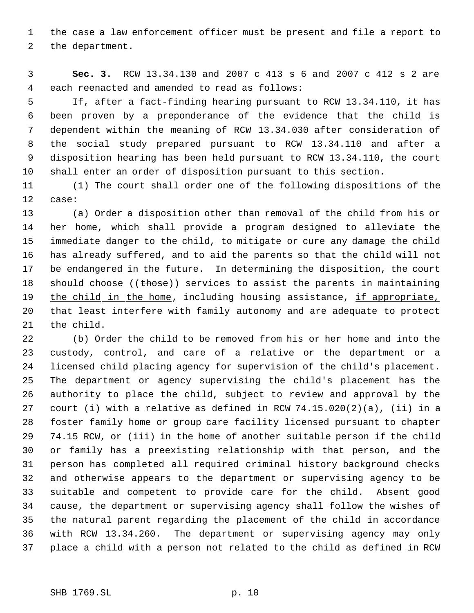the case a law enforcement officer must be present and file a report to the department.

 **Sec. 3.** RCW 13.34.130 and 2007 c 413 s 6 and 2007 c 412 s 2 are each reenacted and amended to read as follows:

 If, after a fact-finding hearing pursuant to RCW 13.34.110, it has been proven by a preponderance of the evidence that the child is dependent within the meaning of RCW 13.34.030 after consideration of the social study prepared pursuant to RCW 13.34.110 and after a disposition hearing has been held pursuant to RCW 13.34.110, the court shall enter an order of disposition pursuant to this section.

 (1) The court shall order one of the following dispositions of the case:

 (a) Order a disposition other than removal of the child from his or her home, which shall provide a program designed to alleviate the immediate danger to the child, to mitigate or cure any damage the child has already suffered, and to aid the parents so that the child will not be endangered in the future. In determining the disposition, the court 18 should choose ((those)) services to assist the parents in maintaining 19 the child in the home, including housing assistance, if appropriate, that least interfere with family autonomy and are adequate to protect the child.

 (b) Order the child to be removed from his or her home and into the custody, control, and care of a relative or the department or a licensed child placing agency for supervision of the child's placement. The department or agency supervising the child's placement has the authority to place the child, subject to review and approval by the court (i) with a relative as defined in RCW 74.15.020(2)(a), (ii) in a foster family home or group care facility licensed pursuant to chapter 74.15 RCW, or (iii) in the home of another suitable person if the child or family has a preexisting relationship with that person, and the person has completed all required criminal history background checks and otherwise appears to the department or supervising agency to be suitable and competent to provide care for the child. Absent good cause, the department or supervising agency shall follow the wishes of the natural parent regarding the placement of the child in accordance with RCW 13.34.260. The department or supervising agency may only place a child with a person not related to the child as defined in RCW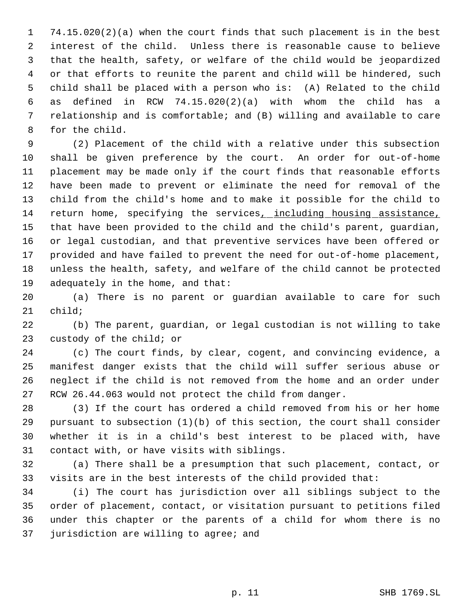74.15.020(2)(a) when the court finds that such placement is in the best interest of the child. Unless there is reasonable cause to believe that the health, safety, or welfare of the child would be jeopardized or that efforts to reunite the parent and child will be hindered, such child shall be placed with a person who is: (A) Related to the child as defined in RCW 74.15.020(2)(a) with whom the child has a relationship and is comfortable; and (B) willing and available to care for the child.

 (2) Placement of the child with a relative under this subsection shall be given preference by the court. An order for out-of-home placement may be made only if the court finds that reasonable efforts have been made to prevent or eliminate the need for removal of the child from the child's home and to make it possible for the child to 14 return home, specifying the services, including housing assistance, that have been provided to the child and the child's parent, guardian, or legal custodian, and that preventive services have been offered or provided and have failed to prevent the need for out-of-home placement, unless the health, safety, and welfare of the child cannot be protected adequately in the home, and that:

 (a) There is no parent or guardian available to care for such child;

 (b) The parent, guardian, or legal custodian is not willing to take custody of the child; or

 (c) The court finds, by clear, cogent, and convincing evidence, a manifest danger exists that the child will suffer serious abuse or neglect if the child is not removed from the home and an order under RCW 26.44.063 would not protect the child from danger.

 (3) If the court has ordered a child removed from his or her home pursuant to subsection (1)(b) of this section, the court shall consider whether it is in a child's best interest to be placed with, have contact with, or have visits with siblings.

 (a) There shall be a presumption that such placement, contact, or visits are in the best interests of the child provided that:

 (i) The court has jurisdiction over all siblings subject to the order of placement, contact, or visitation pursuant to petitions filed under this chapter or the parents of a child for whom there is no jurisdiction are willing to agree; and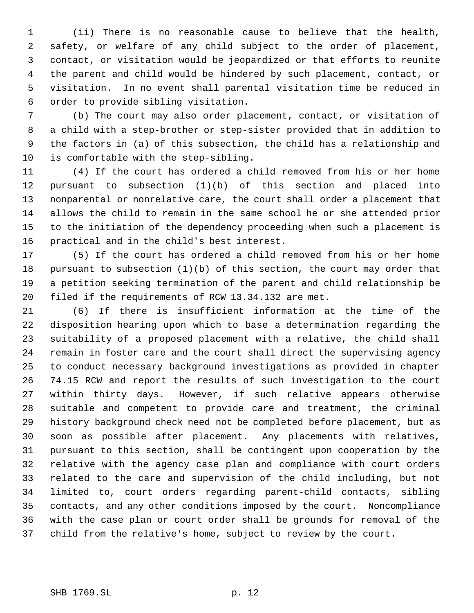(ii) There is no reasonable cause to believe that the health, safety, or welfare of any child subject to the order of placement, contact, or visitation would be jeopardized or that efforts to reunite the parent and child would be hindered by such placement, contact, or visitation. In no event shall parental visitation time be reduced in order to provide sibling visitation.

 (b) The court may also order placement, contact, or visitation of a child with a step-brother or step-sister provided that in addition to the factors in (a) of this subsection, the child has a relationship and is comfortable with the step-sibling.

 (4) If the court has ordered a child removed from his or her home pursuant to subsection (1)(b) of this section and placed into nonparental or nonrelative care, the court shall order a placement that allows the child to remain in the same school he or she attended prior to the initiation of the dependency proceeding when such a placement is practical and in the child's best interest.

 (5) If the court has ordered a child removed from his or her home pursuant to subsection (1)(b) of this section, the court may order that a petition seeking termination of the parent and child relationship be filed if the requirements of RCW 13.34.132 are met.

 (6) If there is insufficient information at the time of the disposition hearing upon which to base a determination regarding the suitability of a proposed placement with a relative, the child shall remain in foster care and the court shall direct the supervising agency to conduct necessary background investigations as provided in chapter 74.15 RCW and report the results of such investigation to the court within thirty days. However, if such relative appears otherwise suitable and competent to provide care and treatment, the criminal history background check need not be completed before placement, but as soon as possible after placement. Any placements with relatives, pursuant to this section, shall be contingent upon cooperation by the relative with the agency case plan and compliance with court orders related to the care and supervision of the child including, but not limited to, court orders regarding parent-child contacts, sibling contacts, and any other conditions imposed by the court. Noncompliance with the case plan or court order shall be grounds for removal of the child from the relative's home, subject to review by the court.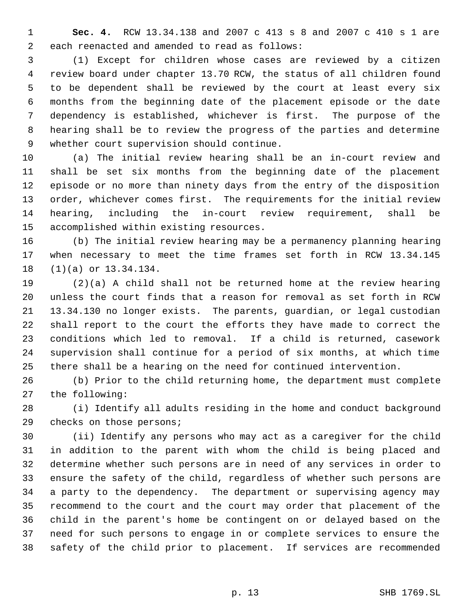**Sec. 4.** RCW 13.34.138 and 2007 c 413 s 8 and 2007 c 410 s 1 are each reenacted and amended to read as follows:

 (1) Except for children whose cases are reviewed by a citizen review board under chapter 13.70 RCW, the status of all children found to be dependent shall be reviewed by the court at least every six months from the beginning date of the placement episode or the date dependency is established, whichever is first. The purpose of the hearing shall be to review the progress of the parties and determine whether court supervision should continue.

 (a) The initial review hearing shall be an in-court review and shall be set six months from the beginning date of the placement episode or no more than ninety days from the entry of the disposition order, whichever comes first. The requirements for the initial review hearing, including the in-court review requirement, shall be accomplished within existing resources.

 (b) The initial review hearing may be a permanency planning hearing when necessary to meet the time frames set forth in RCW 13.34.145 (1)(a) or 13.34.134.

 (2)(a) A child shall not be returned home at the review hearing unless the court finds that a reason for removal as set forth in RCW 13.34.130 no longer exists. The parents, guardian, or legal custodian shall report to the court the efforts they have made to correct the conditions which led to removal. If a child is returned, casework supervision shall continue for a period of six months, at which time there shall be a hearing on the need for continued intervention.

 (b) Prior to the child returning home, the department must complete the following:

 (i) Identify all adults residing in the home and conduct background checks on those persons;

 (ii) Identify any persons who may act as a caregiver for the child in addition to the parent with whom the child is being placed and determine whether such persons are in need of any services in order to ensure the safety of the child, regardless of whether such persons are a party to the dependency. The department or supervising agency may recommend to the court and the court may order that placement of the child in the parent's home be contingent on or delayed based on the need for such persons to engage in or complete services to ensure the safety of the child prior to placement. If services are recommended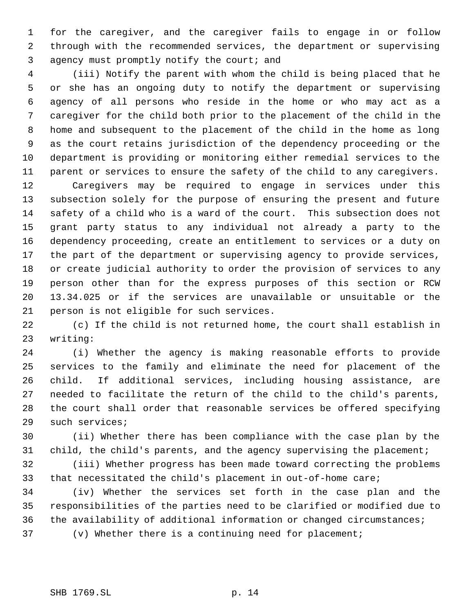for the caregiver, and the caregiver fails to engage in or follow through with the recommended services, the department or supervising agency must promptly notify the court; and

 (iii) Notify the parent with whom the child is being placed that he or she has an ongoing duty to notify the department or supervising agency of all persons who reside in the home or who may act as a caregiver for the child both prior to the placement of the child in the home and subsequent to the placement of the child in the home as long as the court retains jurisdiction of the dependency proceeding or the department is providing or monitoring either remedial services to the parent or services to ensure the safety of the child to any caregivers.

 Caregivers may be required to engage in services under this subsection solely for the purpose of ensuring the present and future safety of a child who is a ward of the court. This subsection does not grant party status to any individual not already a party to the dependency proceeding, create an entitlement to services or a duty on the part of the department or supervising agency to provide services, or create judicial authority to order the provision of services to any person other than for the express purposes of this section or RCW 13.34.025 or if the services are unavailable or unsuitable or the person is not eligible for such services.

 (c) If the child is not returned home, the court shall establish in writing:

 (i) Whether the agency is making reasonable efforts to provide services to the family and eliminate the need for placement of the child. If additional services, including housing assistance, are needed to facilitate the return of the child to the child's parents, the court shall order that reasonable services be offered specifying such services;

 (ii) Whether there has been compliance with the case plan by the child, the child's parents, and the agency supervising the placement;

 (iii) Whether progress has been made toward correcting the problems that necessitated the child's placement in out-of-home care;

 (iv) Whether the services set forth in the case plan and the responsibilities of the parties need to be clarified or modified due to the availability of additional information or changed circumstances;

(v) Whether there is a continuing need for placement;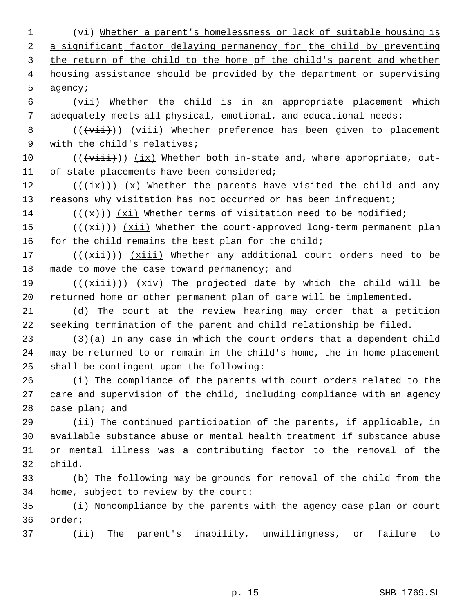(vi) Whether a parent's homelessness or lack of suitable housing is 2 a significant factor delaying permanency for the child by preventing 3 the return of the child to the home of the child's parent and whether housing assistance should be provided by the department or supervising 5 agency*i* 

 (vii) Whether the child is in an appropriate placement which adequately meets all physical, emotional, and educational needs;

8 (((vii)) (viii) Whether preference has been given to placement with the child's relatives;

 $((\forall i \pm i))$  (ix) Whether both in-state and, where appropriate, out-of-state placements have been considered;

12 ( $(\frac{ix}{})$ )  $(x)$  Whether the parents have visited the child and any 13 reasons why visitation has not occurred or has been infrequent;

14 ( $(\langle x\rangle)$ ) (xi) Whether terms of visitation need to be modified;

15  $((+x\texttt{i}))$   $(x\texttt{ii})$  Whether the court-approved long-term permanent plan 16 for the child remains the best plan for the child;

17  $((\overrightarrow{x\text{iii}}))$   $(x\text{iii})$  Whether any additional court orders need to be 18 made to move the case toward permanency; and

19 ( $(\overline{x\text{iii}}))$   $(x\text{iv})$  The projected date by which the child will be returned home or other permanent plan of care will be implemented.

 (d) The court at the review hearing may order that a petition seeking termination of the parent and child relationship be filed.

 (3)(a) In any case in which the court orders that a dependent child may be returned to or remain in the child's home, the in-home placement shall be contingent upon the following:

 (i) The compliance of the parents with court orders related to the care and supervision of the child, including compliance with an agency 28 case plan; and

 (ii) The continued participation of the parents, if applicable, in available substance abuse or mental health treatment if substance abuse or mental illness was a contributing factor to the removal of the child.

 (b) The following may be grounds for removal of the child from the home, subject to review by the court:

 (i) Noncompliance by the parents with the agency case plan or court order;

(ii) The parent's inability, unwillingness, or failure to